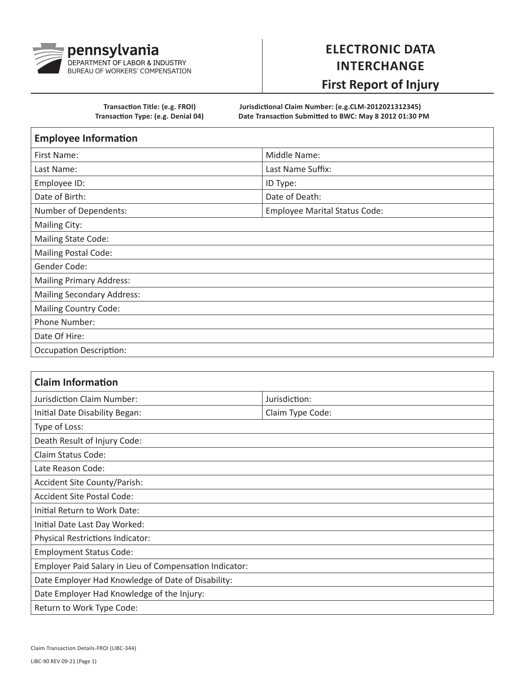

## **ELECTRONIC DATA INTERCHANGE**

## **First Report of Injury**

**Transaction Title: (e.g. FROI) Jurisdictional Claim Number: (e.g.CLM-2012021312345) Transaction Type: (e.g. Denial 04) Date Transaction Submitted to BWC: May 8 2012 01:30 PM**

| <b>Employee Information</b>       |                                      |
|-----------------------------------|--------------------------------------|
| First Name:                       | Middle Name:                         |
| Last Name:                        | Last Name Suffix:                    |
| Employee ID:                      | ID Type:                             |
| Date of Birth:                    | Date of Death:                       |
| Number of Dependents:             | <b>Employee Marital Status Code:</b> |
| <b>Mailing City:</b>              |                                      |
| <b>Mailing State Code:</b>        |                                      |
| <b>Mailing Postal Code:</b>       |                                      |
| Gender Code:                      |                                      |
| <b>Mailing Primary Address:</b>   |                                      |
| <b>Mailing Secondary Address:</b> |                                      |
| <b>Mailing Country Code:</b>      |                                      |
| Phone Number:                     |                                      |
| Date Of Hire:                     |                                      |
| <b>Occupation Description:</b>    |                                      |

| <b>Claim Information</b>                                |                  |
|---------------------------------------------------------|------------------|
| Jurisdiction Claim Number:                              | Jurisdiction:    |
| Initial Date Disability Began:                          | Claim Type Code: |
| Type of Loss:                                           |                  |
| Death Result of Injury Code:                            |                  |
| Claim Status Code:                                      |                  |
| Late Reason Code:                                       |                  |
| Accident Site County/Parish:                            |                  |
| <b>Accident Site Postal Code:</b>                       |                  |
| Initial Return to Work Date:                            |                  |
| Initial Date Last Day Worked:                           |                  |
| Physical Restrictions Indicator:                        |                  |
| <b>Employment Status Code:</b>                          |                  |
| Employer Paid Salary in Lieu of Compensation Indicator: |                  |
| Date Employer Had Knowledge of Date of Disability:      |                  |
| Date Employer Had Knowledge of the Injury:              |                  |
| Return to Work Type Code:                               |                  |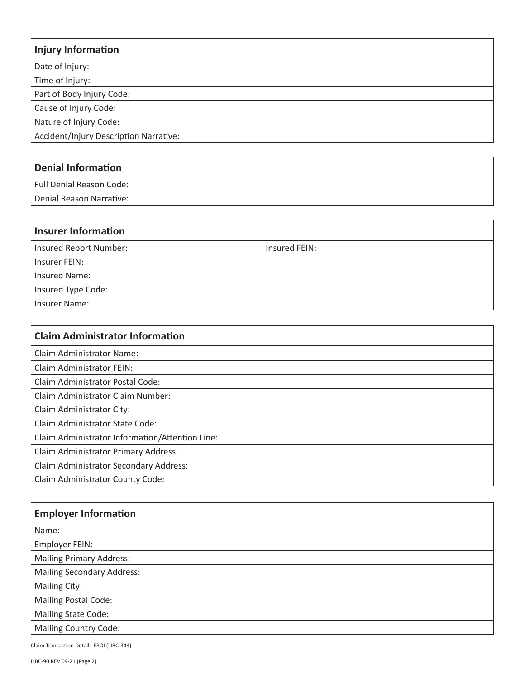## **Injury Information** Date of Injury: Time of Injury: Part of Body Injury Code: Cause of Injury Code: Nature of Injury Code: Accident/Injury Description Narrative:

## **Denial Information**

Full Denial Reason Code:

Denial Reason Narrative:

| <b>Insurer Information</b> |               |
|----------------------------|---------------|
| Insured Report Number:     | Insured FEIN: |
| Insurer FEIN:              |               |
| Insured Name:              |               |
| Insured Type Code:         |               |
| <b>Insurer Name:</b>       |               |

| <b>Claim Administrator Information</b>          |
|-------------------------------------------------|
| <b>Claim Administrator Name:</b>                |
| Claim Administrator FEIN:                       |
| Claim Administrator Postal Code:                |
| Claim Administrator Claim Number:               |
| Claim Administrator City:                       |
| Claim Administrator State Code:                 |
| Claim Administrator Information/Attention Line: |
| Claim Administrator Primary Address:            |
| Claim Administrator Secondary Address:          |
| Claim Administrator County Code:                |

| <b>Employer Information</b>       |
|-----------------------------------|
| Name:                             |
| Employer FEIN:                    |
| <b>Mailing Primary Address:</b>   |
| <b>Mailing Secondary Address:</b> |
| Mailing City:                     |
| <b>Mailing Postal Code:</b>       |
| Mailing State Code:               |
| <b>Mailing Country Code:</b>      |

Claim Transaction Details-FROI (LIBC-344)